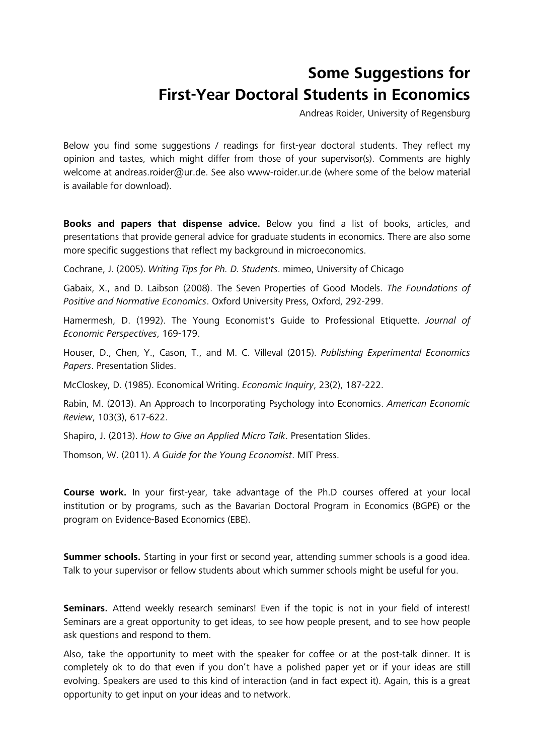## **Some Suggestions for First-Year Doctoral Students in Economics**

Andreas Roider, University of Regensburg

Below you find some suggestions / readings for first-year doctoral students. They reflect my opinion and tastes, which might differ from those of your supervisor(s). Comments are highly welcome at andreas.roider@ur.de. See also www-roider.ur.de (where some of the below material is available for download).

**Books and papers that dispense advice.** Below you find a list of books, articles, and presentations that provide general advice for graduate students in economics. There are also some more specific suggestions that reflect my background in microeconomics.

Cochrane, J. (2005). *Writing Tips for Ph. D. Students*. mimeo, University of Chicago

Gabaix, X., and D. Laibson (2008). The Seven Properties of Good Models. *The Foundations of Positive and Normative Economics*. Oxford University Press, Oxford, 292-299.

Hamermesh, D. (1992). The Young Economist's Guide to Professional Etiquette. *Journal of Economic Perspectives*, 169-179.

Houser, D., Chen, Y., Cason, T., and M. C. Villeval (2015). *Publishing Experimental Economics Papers*. Presentation Slides.

McCloskey, D. (1985). Economical Writing. *Economic Inquiry*, 23(2), 187-222.

Rabin, M. (2013). An Approach to Incorporating Psychology into Economics. *American Economic Review*, 103(3), 617-622.

Shapiro, J. (2013). *How to Give an Applied Micro Talk*. Presentation Slides.

Thomson, W. (2011). *A Guide for the Young Economist*. MIT Press.

**Course work.** In your first-year, take advantage of the Ph.D courses offered at your local institution or by programs, such as the Bavarian Doctoral Program in Economics (BGPE) or the program on Evidence-Based Economics (EBE).

**Summer schools.** Starting in your first or second year, attending summer schools is a good idea. Talk to your supervisor or fellow students about which summer schools might be useful for you.

Seminars. Attend weekly research seminars! Even if the topic is not in your field of interest! Seminars are a great opportunity to get ideas, to see how people present, and to see how people ask questions and respond to them.

Also, take the opportunity to meet with the speaker for coffee or at the post-talk dinner. It is completely ok to do that even if you don't have a polished paper yet or if your ideas are still evolving. Speakers are used to this kind of interaction (and in fact expect it). Again, this is a great opportunity to get input on your ideas and to network.